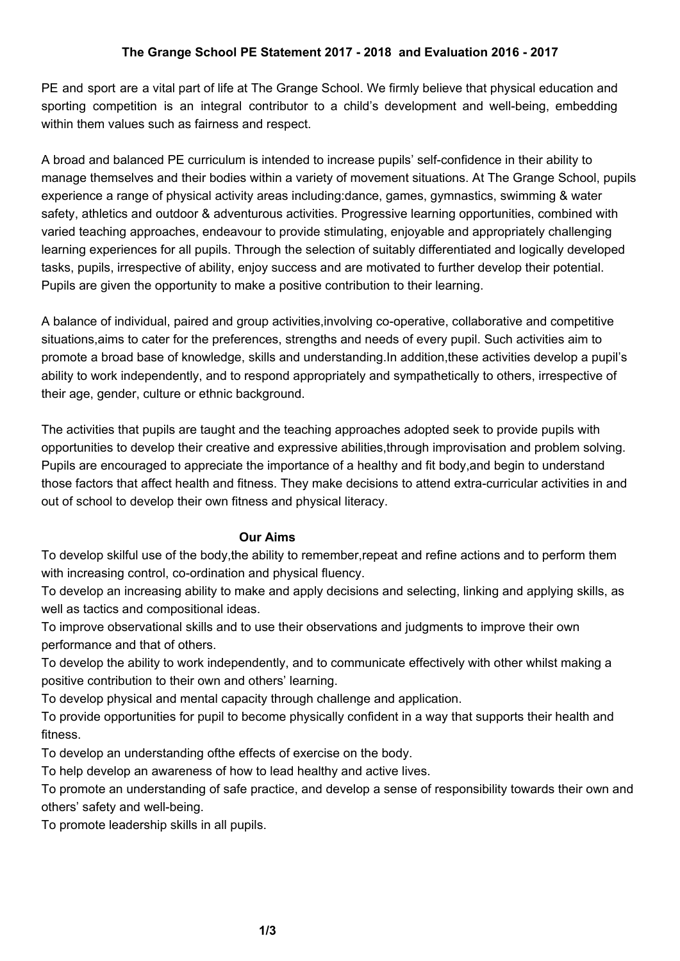PE and sport are a vital part of life at The Grange School. We firmly believe that physical education and sporting competition is an integral contributor to a child's development and well-being, embedding within them values such as fairness and respect.

A broad and balanced PE curriculum is intended to increase pupils' self-confidence in their ability to manage themselves and their bodies within a variety of movement situations. At The Grange School, pupils experience a range of physical activity areas including:dance, games, gymnastics, swimming & water safety, athletics and outdoor & adventurous activities. Progressive learning opportunities, combined with varied teaching approaches, endeavour to provide stimulating, enjoyable and appropriately challenging learning experiences for all pupils. Through the selection of suitably differentiated and logically developed tasks, pupils, irrespective of ability, enjoy success and are motivated to further develop their potential. Pupils are given the opportunity to make a positive contribution to their learning.

A balance of individual, paired and group activities,involving co-operative, collaborative and competitive situations,aims to cater for the preferences, strengths and needs of every pupil. Such activities aim to promote a broad base of knowledge, skills and understanding.In addition,these activities develop a pupil's ability to work independently, and to respond appropriately and sympathetically to others, irrespective of their age, gender, culture or ethnic background.

The activities that pupils are taught and the teaching approaches adopted seek to provide pupils with opportunities to develop their creative and expressive abilities,through improvisation and problem solving. Pupils are encouraged to appreciate the importance of a healthy and fit body,and begin to understand those factors that affect health and fitness. They make decisions to attend extra-curricular activities in and out of school to develop their own fitness and physical literacy.

## **Our Aims**

To develop skilful use of the body,the ability to remember,repeat and refine actions and to perform them with increasing control, co-ordination and physical fluency.

To develop an increasing ability to make and apply decisions and selecting, linking and applying skills, as well as tactics and compositional ideas.

To improve observational skills and to use their observations and judgments to improve their own performance and that of others.

To develop the ability to work independently, and to communicate effectively with other whilst making a positive contribution to their own and others' learning.

To develop physical and mental capacity through challenge and application.

To provide opportunities for pupil to become physically confident in a way that supports their health and fitness.

To develop an understanding ofthe effects of exercise on the body.

To help develop an awareness of how to lead healthy and active lives.

To promote an understanding of safe practice, and develop a sense of responsibility towards their own and others' safety and well-being.

To promote leadership skills in all pupils.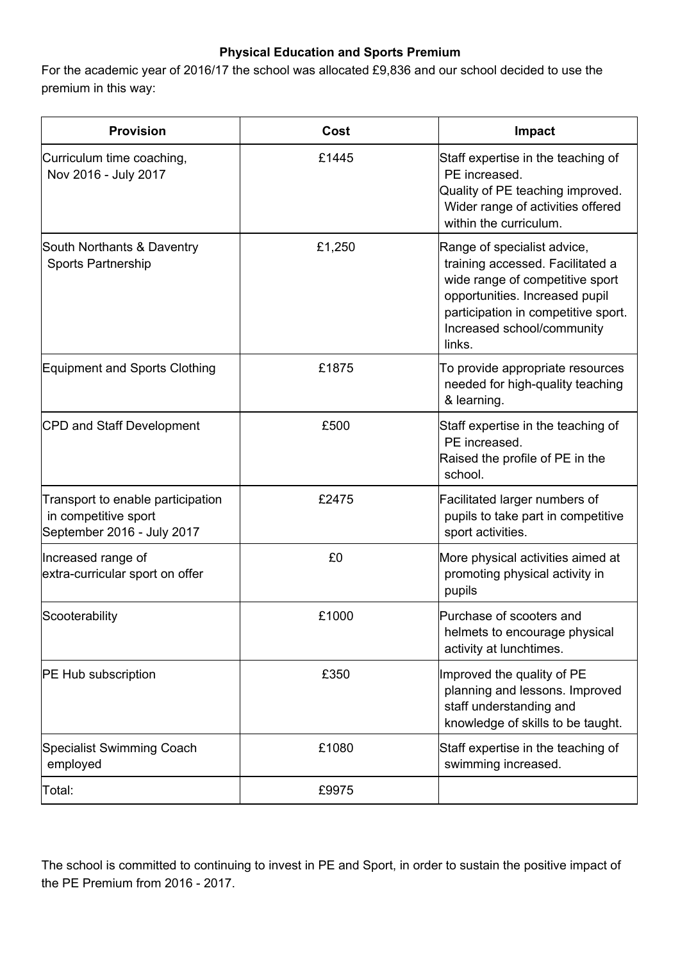## **Physical Education and Sports Premium**

For the academic year of 2016/17 the school was allocated £9,836 and our school decided to use the premium in this way:

| <b>Provision</b>                                                                        | Cost   | Impact                                                                                                                                                                                                              |
|-----------------------------------------------------------------------------------------|--------|---------------------------------------------------------------------------------------------------------------------------------------------------------------------------------------------------------------------|
| Curriculum time coaching,<br>Nov 2016 - July 2017                                       | £1445  | Staff expertise in the teaching of<br>PE increased.<br>Quality of PE teaching improved.<br>Wider range of activities offered<br>within the curriculum.                                                              |
| South Northants & Daventry<br><b>Sports Partnership</b>                                 | £1,250 | Range of specialist advice,<br>training accessed. Facilitated a<br>wide range of competitive sport<br>opportunities. Increased pupil<br>participation in competitive sport.<br>Increased school/community<br>links. |
| <b>Equipment and Sports Clothing</b>                                                    | £1875  | To provide appropriate resources<br>needed for high-quality teaching<br>& learning.                                                                                                                                 |
| CPD and Staff Development                                                               | £500   | Staff expertise in the teaching of<br>PE increased.<br>Raised the profile of PE in the<br>school.                                                                                                                   |
| Transport to enable participation<br>in competitive sport<br>September 2016 - July 2017 | £2475  | Facilitated larger numbers of<br>pupils to take part in competitive<br>sport activities.                                                                                                                            |
| Increased range of<br>extra-curricular sport on offer                                   | £0     | More physical activities aimed at<br>promoting physical activity in<br>pupils                                                                                                                                       |
| Scooterability                                                                          | £1000  | Purchase of scooters and<br>helmets to encourage physical<br>activity at lunchtimes.                                                                                                                                |
| <b>PE Hub subscription</b>                                                              | £350   | Improved the quality of PE<br>planning and lessons. Improved<br>staff understanding and<br>knowledge of skills to be taught.                                                                                        |
| <b>Specialist Swimming Coach</b><br>employed                                            | £1080  | Staff expertise in the teaching of<br>swimming increased.                                                                                                                                                           |
| Total:                                                                                  | £9975  |                                                                                                                                                                                                                     |

The school is committed to continuing to invest in PE and Sport, in order to sustain the positive impact of the PE Premium from 2016 - 2017.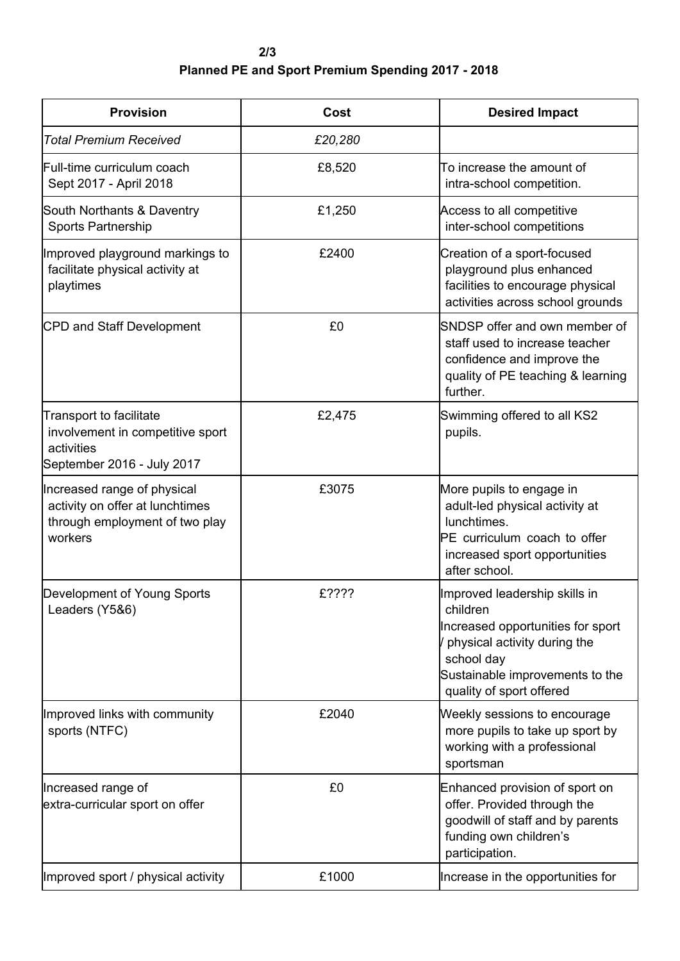**2/3 Planned PE and Sport Premium Spending 2017 - 2018**

| <b>Provision</b>                                                                                               | Cost    | <b>Desired Impact</b>                                                                                                                                                                       |
|----------------------------------------------------------------------------------------------------------------|---------|---------------------------------------------------------------------------------------------------------------------------------------------------------------------------------------------|
| <b>Total Premium Received</b>                                                                                  | £20,280 |                                                                                                                                                                                             |
| Full-time curriculum coach<br>Sept 2017 - April 2018                                                           | £8,520  | To increase the amount of<br>intra-school competition.                                                                                                                                      |
| South Northants & Daventry<br>Sports Partnership                                                               | £1,250  | Access to all competitive<br>inter-school competitions                                                                                                                                      |
| Improved playground markings to<br>facilitate physical activity at<br>playtimes                                | £2400   | Creation of a sport-focused<br>playground plus enhanced<br>facilities to encourage physical<br>activities across school grounds                                                             |
| CPD and Staff Development                                                                                      | £0      | SNDSP offer and own member of<br>staff used to increase teacher<br>confidence and improve the<br>quality of PE teaching & learning<br>further.                                              |
| <b>Transport to facilitate</b><br>involvement in competitive sport<br>activities<br>September 2016 - July 2017 | £2,475  | Swimming offered to all KS2<br>pupils.                                                                                                                                                      |
| Increased range of physical<br>activity on offer at lunchtimes<br>through employment of two play<br>workers    | £3075   | More pupils to engage in<br>adult-led physical activity at<br>lunchtimes.<br>PE curriculum coach to offer<br>increased sport opportunities<br>after school.                                 |
| Development of Young Sports<br>Leaders (Y5&6)                                                                  | £????   | Improved leadership skills in<br>children<br>Increased opportunities for sport<br>physical activity during the<br>school day<br>Sustainable improvements to the<br>quality of sport offered |
| Improved links with community<br>sports (NTFC)                                                                 | £2040   | Weekly sessions to encourage<br>more pupils to take up sport by<br>working with a professional<br>sportsman                                                                                 |
| Increased range of<br>extra-curricular sport on offer                                                          | £0      | Enhanced provision of sport on<br>offer. Provided through the<br>goodwill of staff and by parents<br>funding own children's<br>participation.                                               |
| Improved sport / physical activity                                                                             | £1000   | Increase in the opportunities for                                                                                                                                                           |